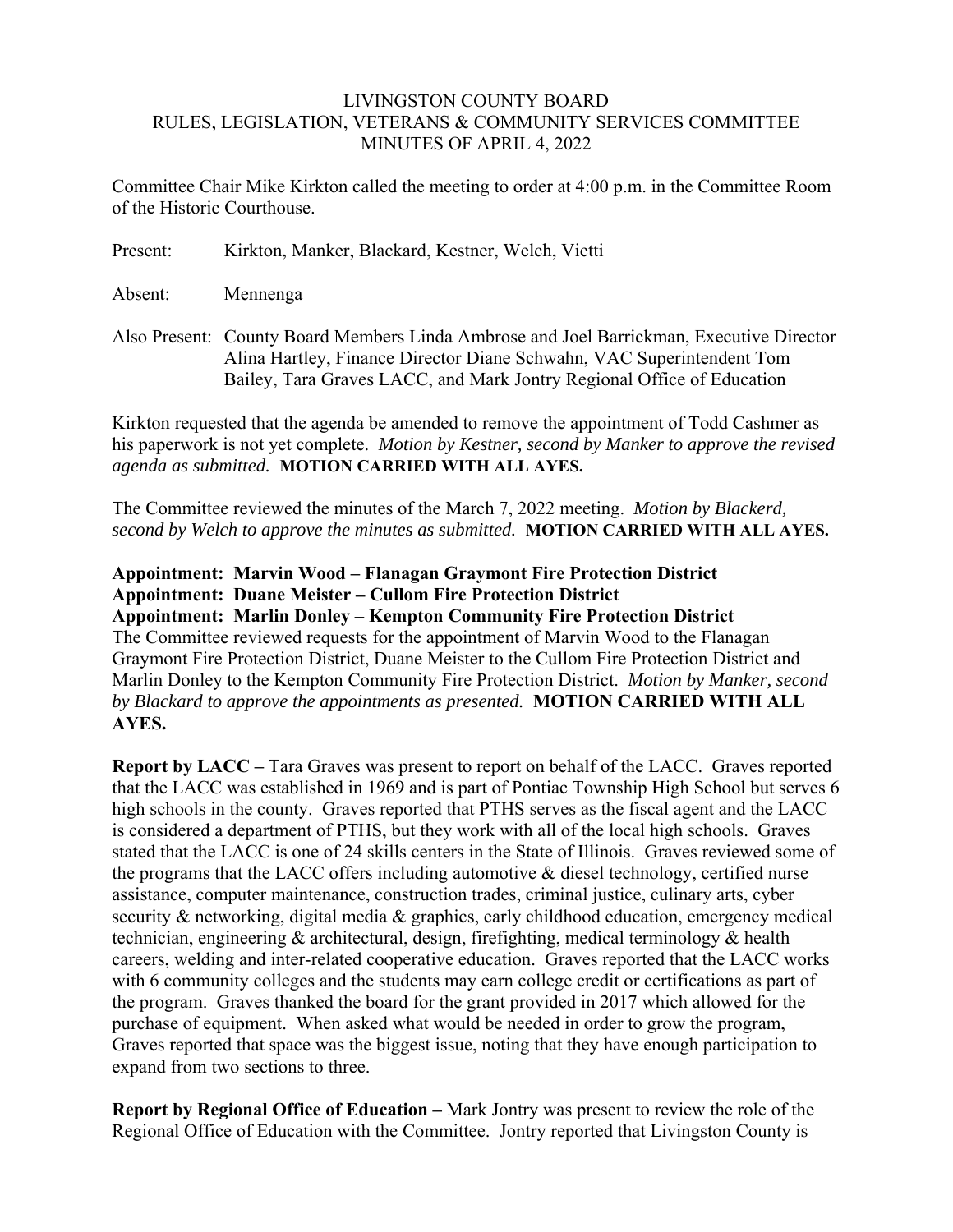## LIVINGSTON COUNTY BOARD RULES, LEGISLATION, VETERANS & COMMUNITY SERVICES COMMITTEE MINUTES OF APRIL 4, 2022

Committee Chair Mike Kirkton called the meeting to order at 4:00 p.m. in the Committee Room of the Historic Courthouse.

| Present: | Kirkton, Manker, Blackard, Kestner, Welch, Vietti |  |  |  |  |  |  |
|----------|---------------------------------------------------|--|--|--|--|--|--|
|----------|---------------------------------------------------|--|--|--|--|--|--|

Absent: Mennenga

Also Present: County Board Members Linda Ambrose and Joel Barrickman, Executive Director Alina Hartley, Finance Director Diane Schwahn, VAC Superintendent Tom Bailey, Tara Graves LACC, and Mark Jontry Regional Office of Education

Kirkton requested that the agenda be amended to remove the appointment of Todd Cashmer as his paperwork is not yet complete. *Motion by Kestner, second by Manker to approve the revised agenda as submitted.* **MOTION CARRIED WITH ALL AYES.** 

The Committee reviewed the minutes of the March 7, 2022 meeting. *Motion by Blackerd, second by Welch to approve the minutes as submitted.* **MOTION CARRIED WITH ALL AYES.** 

**Appointment: Marvin Wood – Flanagan Graymont Fire Protection District Appointment: Duane Meister – Cullom Fire Protection District Appointment: Marlin Donley – Kempton Community Fire Protection District**  The Committee reviewed requests for the appointment of Marvin Wood to the Flanagan Graymont Fire Protection District, Duane Meister to the Cullom Fire Protection District and Marlin Donley to the Kempton Community Fire Protection District. *Motion by Manker, second by Blackard to approve the appointments as presented.* **MOTION CARRIED WITH ALL AYES.** 

**Report by LACC** – Tara Graves was present to report on behalf of the LACC. Graves reported that the LACC was established in 1969 and is part of Pontiac Township High School but serves 6 high schools in the county. Graves reported that PTHS serves as the fiscal agent and the LACC is considered a department of PTHS, but they work with all of the local high schools. Graves stated that the LACC is one of 24 skills centers in the State of Illinois. Graves reviewed some of the programs that the LACC offers including automotive & diesel technology, certified nurse assistance, computer maintenance, construction trades, criminal justice, culinary arts, cyber security & networking, digital media & graphics, early childhood education, emergency medical technician, engineering & architectural, design, firefighting, medical terminology & health careers, welding and inter-related cooperative education. Graves reported that the LACC works with 6 community colleges and the students may earn college credit or certifications as part of the program. Graves thanked the board for the grant provided in 2017 which allowed for the purchase of equipment. When asked what would be needed in order to grow the program, Graves reported that space was the biggest issue, noting that they have enough participation to expand from two sections to three.

**Report by Regional Office of Education –** Mark Jontry was present to review the role of the Regional Office of Education with the Committee. Jontry reported that Livingston County is